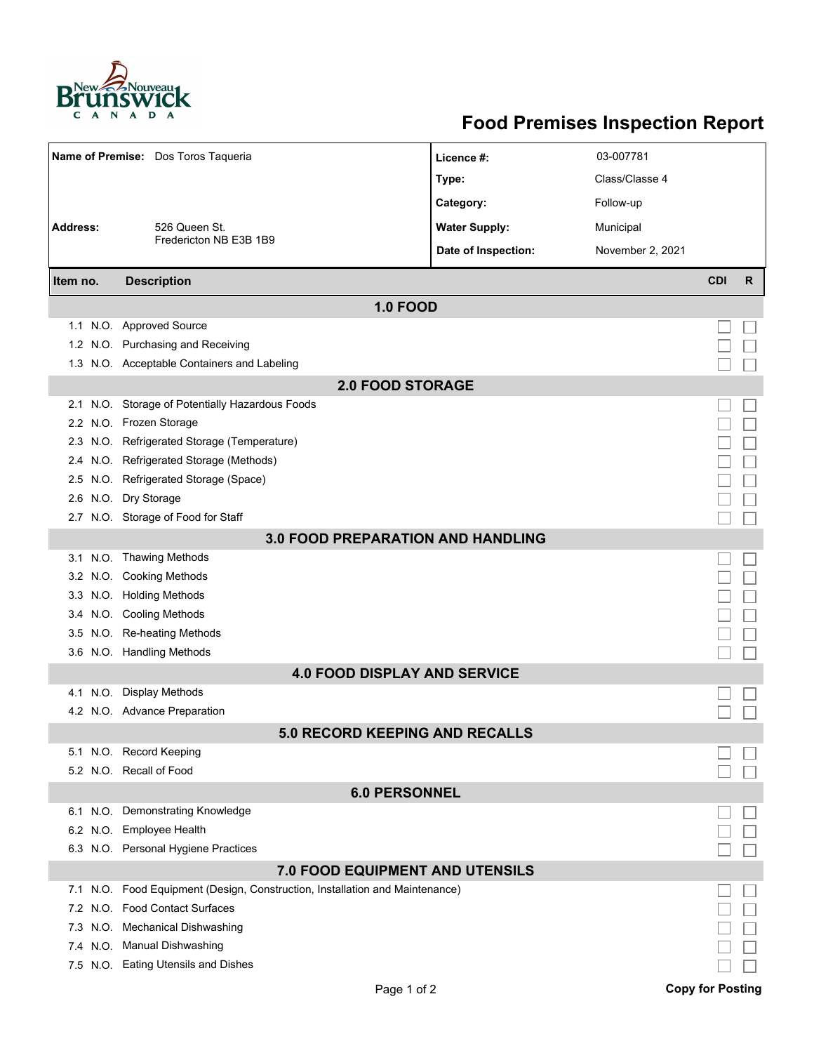

## **Food Premises Inspection Report**

|                                          | Name of Premise: Dos Toros Taqueria                                      | Licence #:           | 03-007781        |            |              |  |  |  |
|------------------------------------------|--------------------------------------------------------------------------|----------------------|------------------|------------|--------------|--|--|--|
|                                          |                                                                          | Type:                | Class/Classe 4   |            |              |  |  |  |
|                                          |                                                                          | Category:            | Follow-up        |            |              |  |  |  |
| <b>Address:</b>                          | 526 Queen St.                                                            | <b>Water Supply:</b> | Municipal        |            |              |  |  |  |
|                                          | Fredericton NB E3B 1B9                                                   | Date of Inspection:  | November 2, 2021 |            |              |  |  |  |
| Item no.                                 | <b>Description</b>                                                       |                      |                  | <b>CDI</b> | $\mathsf{R}$ |  |  |  |
| <b>1.0 FOOD</b>                          |                                                                          |                      |                  |            |              |  |  |  |
|                                          | 1.1 N.O. Approved Source                                                 |                      |                  |            |              |  |  |  |
| 1.2                                      | N.O. Purchasing and Receiving                                            |                      |                  |            |              |  |  |  |
|                                          | 1.3 N.O. Acceptable Containers and Labeling                              |                      |                  |            |              |  |  |  |
|                                          | <b>2.0 FOOD STORAGE</b>                                                  |                      |                  |            |              |  |  |  |
| 2.1                                      | N.O. Storage of Potentially Hazardous Foods                              |                      |                  |            |              |  |  |  |
|                                          | 2.2 N.O. Frozen Storage                                                  |                      |                  |            |              |  |  |  |
| 2.3                                      | N.O. Refrigerated Storage (Temperature)                                  |                      |                  |            |              |  |  |  |
| 2.4                                      | N.O. Refrigerated Storage (Methods)                                      |                      |                  |            |              |  |  |  |
| $2.5^{\circ}$                            | N.O. Refrigerated Storage (Space)                                        |                      |                  |            |              |  |  |  |
|                                          | 2.6 N.O. Dry Storage                                                     |                      |                  |            |              |  |  |  |
|                                          | 2.7 N.O. Storage of Food for Staff                                       |                      |                  |            |              |  |  |  |
| <b>3.0 FOOD PREPARATION AND HANDLING</b> |                                                                          |                      |                  |            |              |  |  |  |
|                                          | 3.1 N.O. Thawing Methods                                                 |                      |                  |            |              |  |  |  |
|                                          | 3.2 N.O. Cooking Methods                                                 |                      |                  |            |              |  |  |  |
|                                          | 3.3 N.O. Holding Methods                                                 |                      |                  |            |              |  |  |  |
|                                          | 3.4 N.O. Cooling Methods                                                 |                      |                  |            |              |  |  |  |
| 3.5                                      | N.O. Re-heating Methods                                                  |                      |                  |            |              |  |  |  |
|                                          | 3.6 N.O. Handling Methods                                                |                      |                  |            |              |  |  |  |
| <b>4.0 FOOD DISPLAY AND SERVICE</b>      |                                                                          |                      |                  |            |              |  |  |  |
|                                          | 4.1 N.O. Display Methods                                                 |                      |                  |            |              |  |  |  |
|                                          | 4.2 N.O. Advance Preparation                                             |                      |                  |            |              |  |  |  |
|                                          | <b>5.0 RECORD KEEPING AND RECALLS</b>                                    |                      |                  |            |              |  |  |  |
|                                          | 5.1 N.O. Record Keeping                                                  |                      |                  |            |              |  |  |  |
|                                          | 5.2 N.O. Recall of Food                                                  |                      |                  |            |              |  |  |  |
| <b>6.0 PERSONNEL</b>                     |                                                                          |                      |                  |            |              |  |  |  |
|                                          | 6.1 N.O. Demonstrating Knowledge                                         |                      |                  |            |              |  |  |  |
|                                          | 6.2 N.O. Employee Health                                                 |                      |                  |            |              |  |  |  |
|                                          | 6.3 N.O. Personal Hygiene Practices                                      |                      |                  |            |              |  |  |  |
| 7.0 FOOD EQUIPMENT AND UTENSILS          |                                                                          |                      |                  |            |              |  |  |  |
| 7.1                                      | N.O. Food Equipment (Design, Construction, Installation and Maintenance) |                      |                  |            |              |  |  |  |
|                                          | 7.2 N.O. Food Contact Surfaces                                           |                      |                  |            |              |  |  |  |
| 7.3                                      | N.O. Mechanical Dishwashing                                              |                      |                  |            |              |  |  |  |
|                                          | 7.4 N.O. Manual Dishwashing                                              |                      |                  |            |              |  |  |  |
|                                          | 7.5 N.O. Eating Utensils and Dishes                                      |                      |                  |            |              |  |  |  |